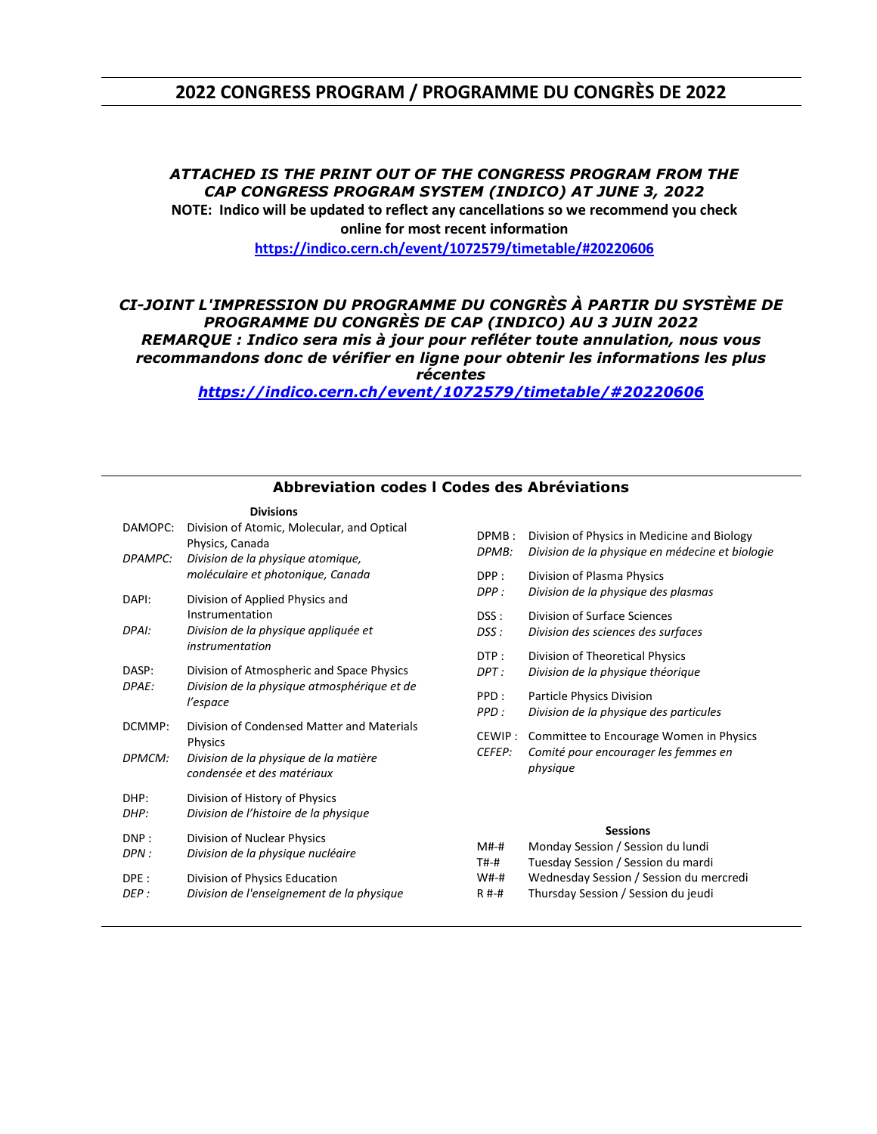#### **2022 CONGRESS PROGRAM / PROGRAMME DU CONGRÈS DE 2022**

#### *ATTACHED IS THE PRINT OUT OF THE CONGRESS PROGRAM FROM THE CAP CONGRESS PROGRAM SYSTEM (INDICO) AT JUNE 3, 2022* **NOTE: Indico will be updated to reflect any cancellations so we recommend you check**

**online for most recent information**

**<https://indico.cern.ch/event/1072579/timetable/#20220606>**

#### *CI-JOINT L'IMPRESSION DU PROGRAMME DU CONGRÈS À PARTIR DU SYSTÈME DE PROGRAMME DU CONGRÈS DE CAP (INDICO) AU 3 JUIN 2022 REMARQUE : Indico sera mis à jour pour refléter toute annulation, nous vous recommandons donc de vérifier en ligne pour obtenir les informations les plus récentes*

*<https://indico.cern.ch/event/1072579/timetable/#20220606>*

| בוטושוט               |                                                                                                      |
|-----------------------|------------------------------------------------------------------------------------------------------|
| DAMOPC:               | Division of Atomic, Molecular, and Optical<br>Physics, Canada                                        |
| DPAMPC:               | Division de la physique atomique,<br>moléculaire et photonique, Canada                               |
| DAPI:                 | Division of Applied Physics and<br>Instrumentation                                                   |
| DPAI:                 | Division de la physique appliquée et<br>instrumentation                                              |
| DASP:<br><i>DPAE:</i> | Division of Atmospheric and Space Physics<br>Division de la physique atmosphérique et de<br>l'espace |
| DCMMP:                | Division of Condensed Matter and Materials<br><b>Physics</b>                                         |
| DPMCM:                | Division de la physique de la matière<br>condensée et des matériaux                                  |
| DHP:<br>DHP:          | Division of History of Physics<br>Division de l'histoire de la physique                              |
| DNP:<br>DPN :         | Division of Nuclear Physics<br>Division de la physique nucléaire                                     |
| DPE :<br>DEP :        | Division of Physics Education<br>Division de l'enseignement de la physique                           |
|                       |                                                                                                      |

**Divisions**

#### **Abbreviation codes l Codes des Abréviations**

| DPMB:                    | Division of Physics in Medicine and Biology                                                 |
|--------------------------|---------------------------------------------------------------------------------------------|
| DPMB:                    | Division de la physique en médecine et biologie                                             |
| DPP :                    | Division of Plasma Physics                                                                  |
| DPP :                    | Division de la physique des plasmas                                                         |
| DSS :                    | Division of Surface Sciences                                                                |
| DSS :                    | Division des sciences des surfaces                                                          |
| DTP :                    | Division of Theoretical Physics                                                             |
| DPT :                    | Division de la physique théorique                                                           |
| PPD:                     | Particle Physics Division                                                                   |
| PPD :                    | Division de la physique des particules                                                      |
| CEWIP :<br><i>CEFEP:</i> | Committee to Encourage Women in Physics<br>Comité pour encourager les femmes en<br>physique |
|                          | <b>Sessions</b>                                                                             |
| M#-#                     | Monday Session / Session du lundi                                                           |
| T#-#                     | Tuesday Session / Session du mardi                                                          |
| W#-#                     | Wednesday Session / Session du mercredi                                                     |

R #-# Thursday Session / Session du jeudi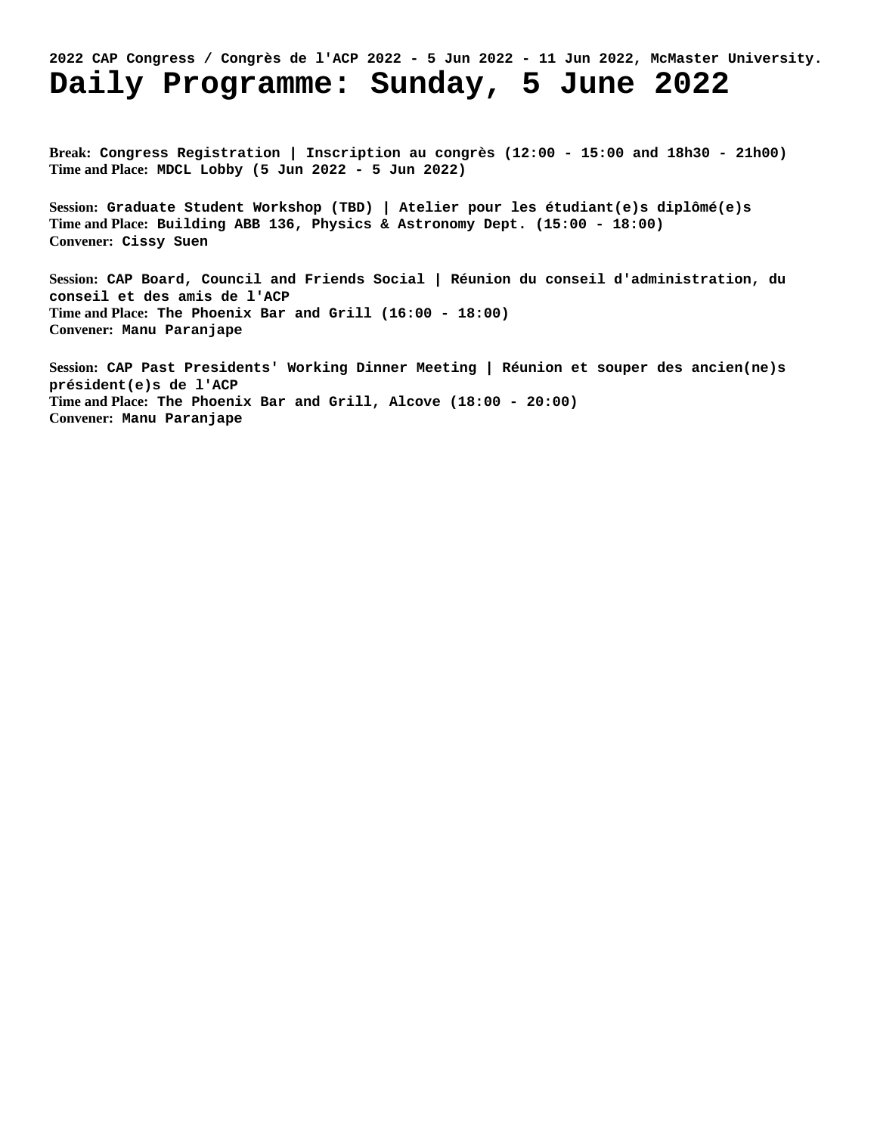# **2022 CAP Congress / Congrès de l'ACP 2022 - 5 Jun 2022 - 11 Jun 2022, McMaster University. Daily Programme: Sunday, 5 June 2022**

**Break: Congress Registration | Inscription au congrès (12:00 - 15:00 and 18h30 - 21h00) Time and Place: MDCL Lobby (5 Jun 2022 - 5 Jun 2022)**

**Session: Graduate Student Workshop (TBD) | Atelier pour les étudiant(e)s diplômé(e)s Time and Place: Building ABB 136, Physics & Astronomy Dept. (15:00 - 18:00) Convener: Cissy Suen**

**Session: CAP Board, Council and Friends Social | Réunion du conseil d'administration, du conseil et des amis de l'ACP Time and Place: The Phoenix Bar and Grill (16:00 - 18:00) Convener: Manu Paranjape**

**Session: CAP Past Presidents' Working Dinner Meeting | Réunion et souper des ancien(ne)s président(e)s de l'ACP Time and Place: The Phoenix Bar and Grill, Alcove (18:00 - 20:00) Convener: Manu Paranjape**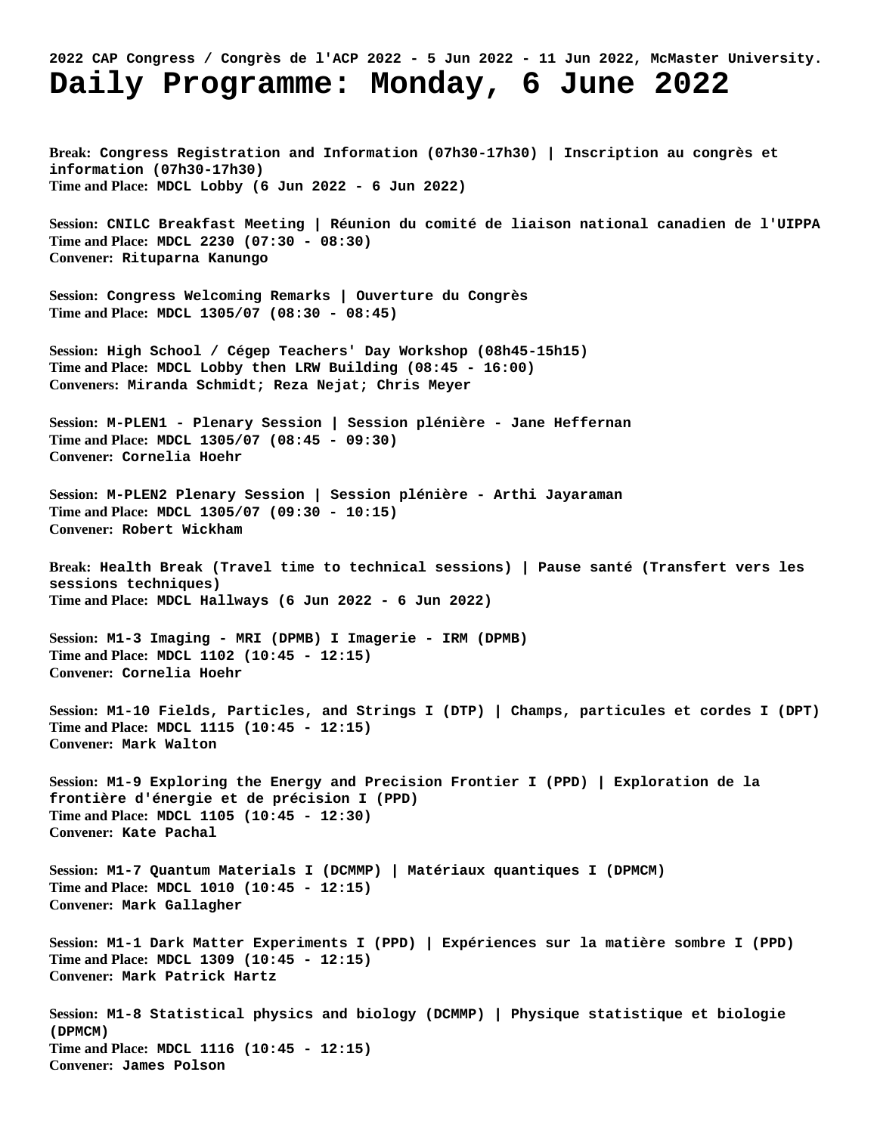### **2022 CAP Congress / Congrès de l'ACP 2022 - 5 Jun 2022 - 11 Jun 2022, McMaster University. Daily Programme: Monday, 6 June 2022**

**Break: Congress Registration and Information (07h30-17h30) | Inscription au congrès et information (07h30-17h30) Time and Place: MDCL Lobby (6 Jun 2022 - 6 Jun 2022)**

**Session: CNILC Breakfast Meeting | Réunion du comité de liaison national canadien de l'UIPPA Time and Place: MDCL 2230 (07:30 - 08:30) Convener: Rituparna Kanungo**

**Session: Congress Welcoming Remarks | Ouverture du Congrès Time and Place: MDCL 1305/07 (08:30 - 08:45)**

**Session: High School / Cégep Teachers' Day Workshop (08h45-15h15) Time and Place: MDCL Lobby then LRW Building (08:45 - 16:00) Conveners: Miranda Schmidt; Reza Nejat; Chris Meyer**

**Session: M-PLEN1 - Plenary Session | Session plénière - Jane Heffernan Time and Place: MDCL 1305/07 (08:45 - 09:30) Convener: Cornelia Hoehr**

**Session: M-PLEN2 Plenary Session | Session plénière - Arthi Jayaraman Time and Place: MDCL 1305/07 (09:30 - 10:15) Convener: Robert Wickham**

**Break: Health Break (Travel time to technical sessions) | Pause santé (Transfert vers les sessions techniques) Time and Place: MDCL Hallways (6 Jun 2022 - 6 Jun 2022)**

**Session: M1-3 Imaging - MRI (DPMB) I Imagerie - IRM (DPMB) Time and Place: MDCL 1102 (10:45 - 12:15) Convener: Cornelia Hoehr**

**Session: M1-10 Fields, Particles, and Strings I (DTP) | Champs, particules et cordes I (DPT) Time and Place: MDCL 1115 (10:45 - 12:15) Convener: Mark Walton**

**Session: M1-9 Exploring the Energy and Precision Frontier I (PPD) | Exploration de la frontière d'énergie et de précision I (PPD) Time and Place: MDCL 1105 (10:45 - 12:30) Convener: Kate Pachal**

**Session: M1-7 Quantum Materials I (DCMMP) | Matériaux quantiques I (DPMCM) Time and Place: MDCL 1010 (10:45 - 12:15) Convener: Mark Gallagher**

**Session: M1-1 Dark Matter Experiments I (PPD) | Expériences sur la matière sombre I (PPD) Time and Place: MDCL 1309 (10:45 - 12:15) Convener: Mark Patrick Hartz**

**Session: M1-8 Statistical physics and biology (DCMMP) | Physique statistique et biologie (DPMCM) Time and Place: MDCL 1116 (10:45 - 12:15) Convener: James Polson**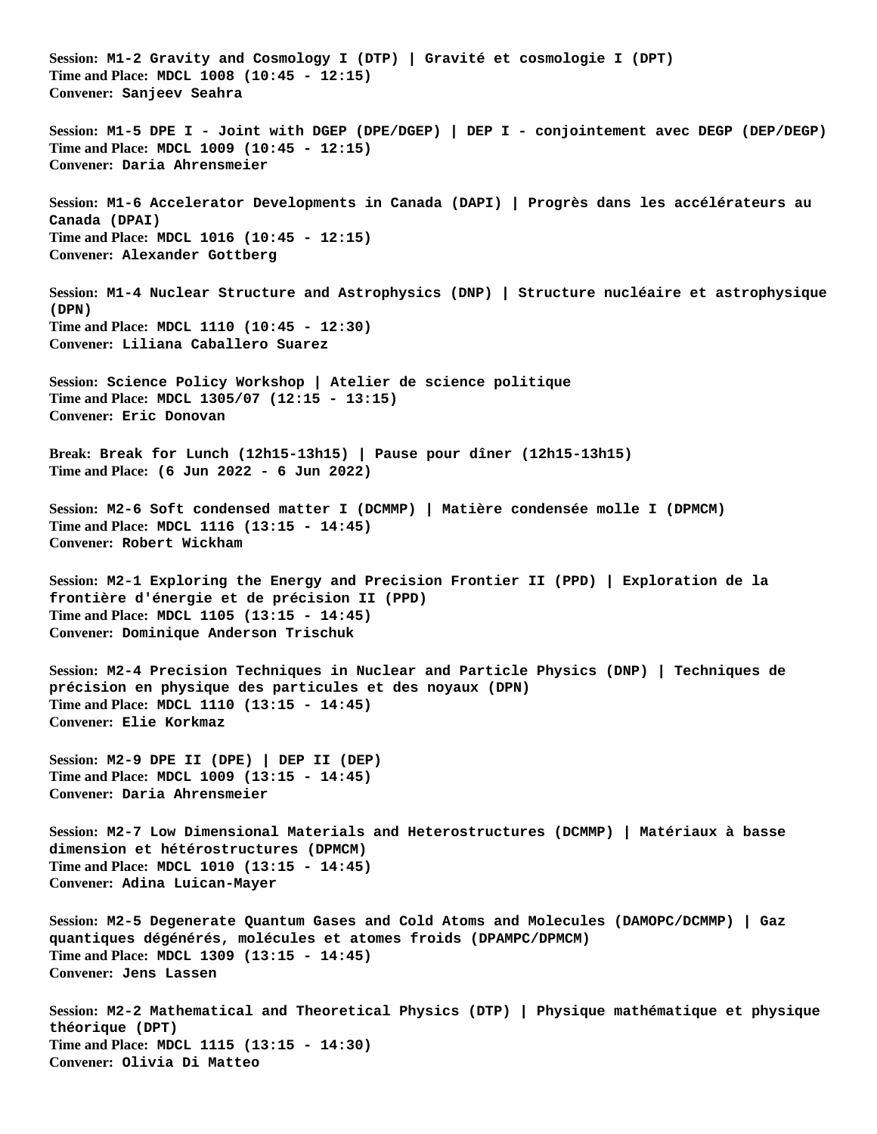**Session: M1-2 Gravity and Cosmology I (DTP) | Gravité et cosmologie I (DPT) Time and Place: MDCL 1008 (10:45 - 12:15) Convener: Sanjeev Seahra Session: M1-5 DPE I - Joint with DGEP (DPE/DGEP) | DEP I - conjointement avec DEGP (DEP/DEGP) Time and Place: MDCL 1009 (10:45 - 12:15) Convener: Daria Ahrensmeier Session: M1-6 Accelerator Developments in Canada (DAPI) | Progrès dans les accélérateurs au Canada (DPAI) Time and Place: MDCL 1016 (10:45 - 12:15) Convener: Alexander Gottberg Session: M1-4 Nuclear Structure and Astrophysics (DNP) | Structure nucléaire et astrophysique (DPN) Time and Place: MDCL 1110 (10:45 - 12:30) Convener: Liliana Caballero Suarez Session: Science Policy Workshop | Atelier de science politique Time and Place: MDCL 1305/07 (12:15 - 13:15) Convener: Eric Donovan Break: Break for Lunch (12h15-13h15) | Pause pour dîner (12h15-13h15) Time and Place: (6 Jun 2022 - 6 Jun 2022) Session: M2-6 Soft condensed matter I (DCMMP) | Matière condensée molle I (DPMCM) Time and Place: MDCL 1116 (13:15 - 14:45) Convener: Robert Wickham Session: M2-1 Exploring the Energy and Precision Frontier II (PPD) | Exploration de la frontière d'énergie et de précision II (PPD) Time and Place: MDCL 1105 (13:15 - 14:45) Convener: Dominique Anderson Trischuk Session: M2-4 Precision Techniques in Nuclear and Particle Physics (DNP) | Techniques de précision en physique des particules et des noyaux (DPN) Time and Place: MDCL 1110 (13:15 - 14:45) Convener: Elie Korkmaz Session: M2-9 DPE II (DPE) | DEP II (DEP) Time and Place: MDCL 1009 (13:15 - 14:45) Convener: Daria Ahrensmeier Session: M2-7 Low Dimensional Materials and Heterostructures (DCMMP) | Matériaux à basse dimension et hétérostructures (DPMCM) Time and Place: MDCL 1010 (13:15 - 14:45) Convener: Adina Luican-Mayer Session: M2-5 Degenerate Quantum Gases and Cold Atoms and Molecules (DAMOPC/DCMMP) | Gaz quantiques dégénérés, molécules et atomes froids (DPAMPC/DPMCM) Time and Place: MDCL 1309 (13:15 - 14:45) Convener: Jens Lassen Session: M2-2 Mathematical and Theoretical Physics (DTP) | Physique mathématique et physique théorique (DPT) Time and Place: MDCL 1115 (13:15 - 14:30) Convener: Olivia Di Matteo**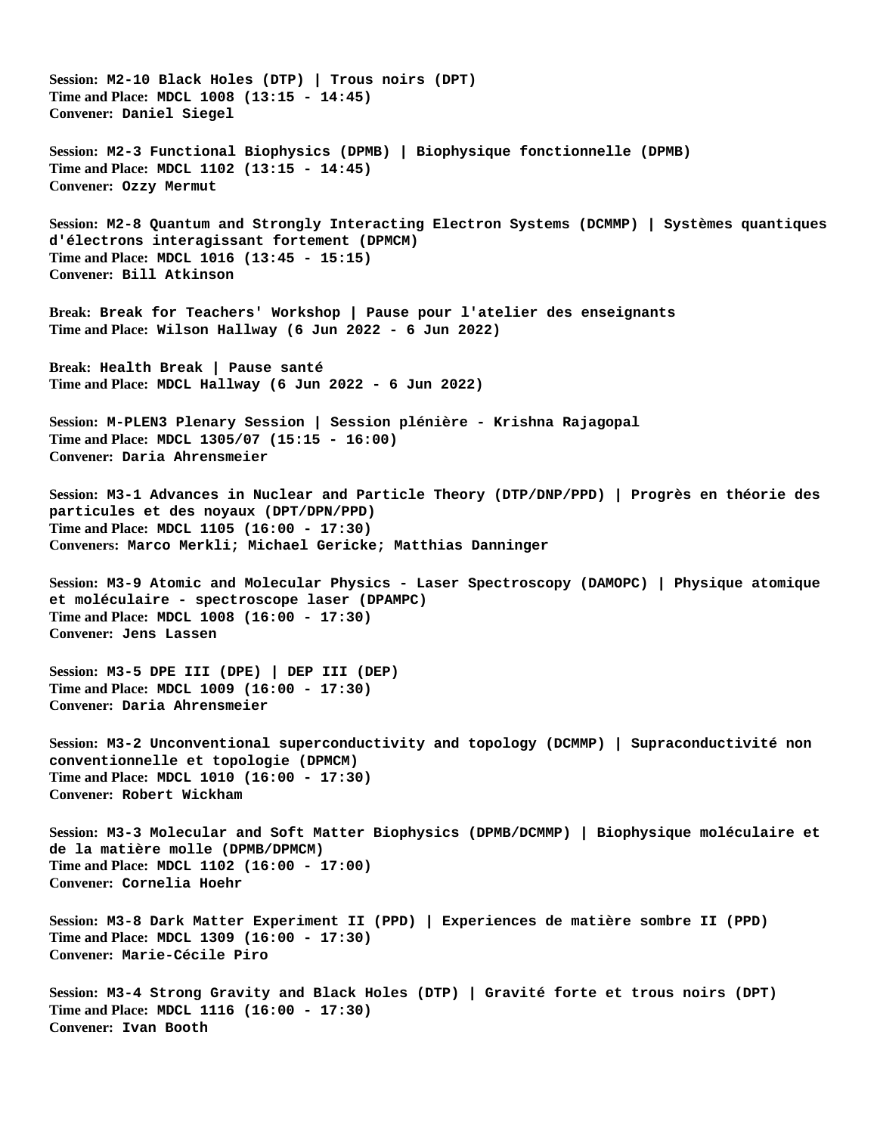**Session: M2-10 Black Holes (DTP) | Trous noirs (DPT) Time and Place: MDCL 1008 (13:15 - 14:45) Convener: Daniel Siegel Session: M2-3 Functional Biophysics (DPMB) | Biophysique fonctionnelle (DPMB) Time and Place: MDCL 1102 (13:15 - 14:45) Convener: Ozzy Mermut Session: M2-8 Quantum and Strongly Interacting Electron Systems (DCMMP) | Systèmes quantiques d'électrons interagissant fortement (DPMCM) Time and Place: MDCL 1016 (13:45 - 15:15) Convener: Bill Atkinson Break: Break for Teachers' Workshop | Pause pour l'atelier des enseignants Time and Place: Wilson Hallway (6 Jun 2022 - 6 Jun 2022) Break: Health Break | Pause santé Time and Place: MDCL Hallway (6 Jun 2022 - 6 Jun 2022) Session: M-PLEN3 Plenary Session | Session plénière - Krishna Rajagopal Time and Place: MDCL 1305/07 (15:15 - 16:00) Convener: Daria Ahrensmeier Session: M3-1 Advances in Nuclear and Particle Theory (DTP/DNP/PPD) | Progrès en théorie des particules et des noyaux (DPT/DPN/PPD) Time and Place: MDCL 1105 (16:00 - 17:30) Conveners: Marco Merkli; Michael Gericke; Matthias Danninger Session: M3-9 Atomic and Molecular Physics - Laser Spectroscopy (DAMOPC) | Physique atomique et moléculaire - spectroscope laser (DPAMPC) Time and Place: MDCL 1008 (16:00 - 17:30) Convener: Jens Lassen Session: M3-5 DPE III (DPE) | DEP III (DEP) Time and Place: MDCL 1009 (16:00 - 17:30) Convener: Daria Ahrensmeier Session: M3-2 Unconventional superconductivity and topology (DCMMP) | Supraconductivité non conventionnelle et topologie (DPMCM) Time and Place: MDCL 1010 (16:00 - 17:30) Convener: Robert Wickham Session: M3-3 Molecular and Soft Matter Biophysics (DPMB/DCMMP) | Biophysique moléculaire et de la matière molle (DPMB/DPMCM) Time and Place: MDCL 1102 (16:00 - 17:00) Convener: Cornelia Hoehr Session: M3-8 Dark Matter Experiment II (PPD) | Experiences de matière sombre II (PPD) Time and Place: MDCL 1309 (16:00 - 17:30) Convener: Marie-Cécile Piro Session: M3-4 Strong Gravity and Black Holes (DTP) | Gravité forte et trous noirs (DPT) Time and Place: MDCL 1116 (16:00 - 17:30) Convener: Ivan Booth**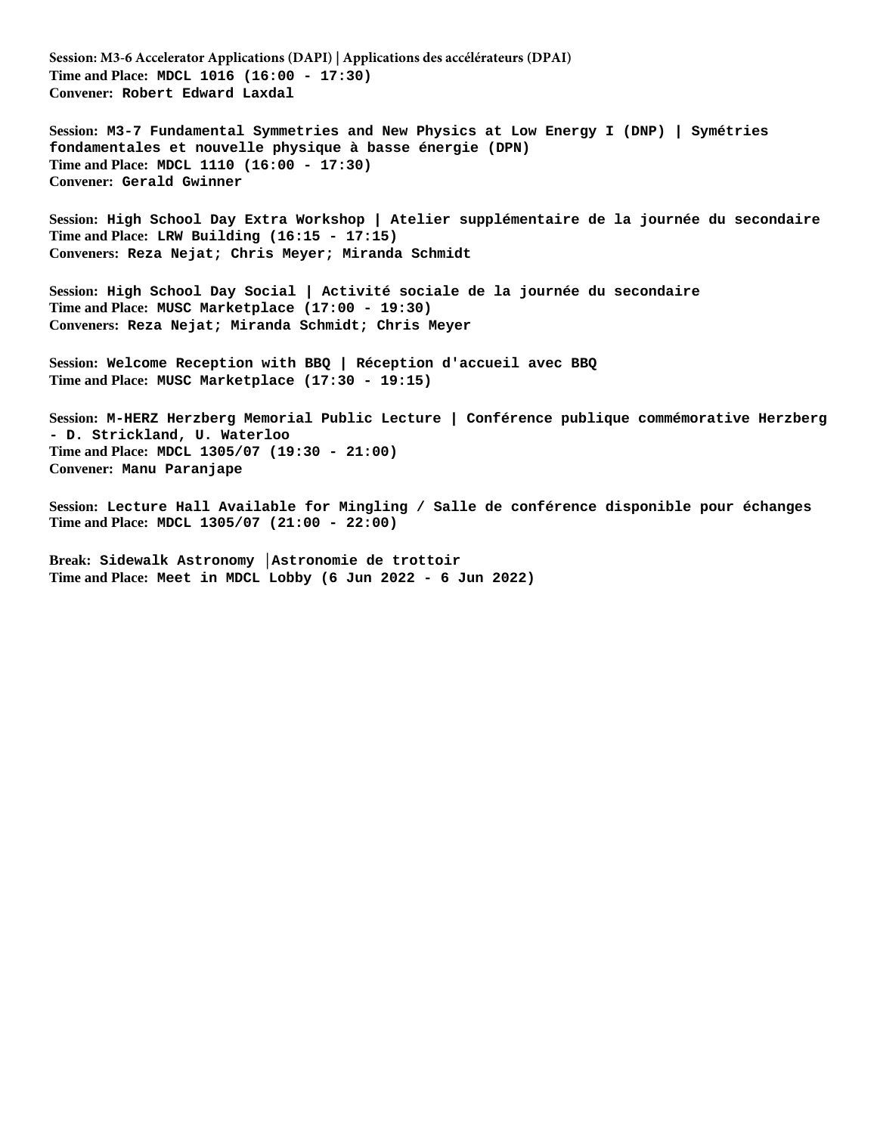**Session: M3-6 Accelerator Applications (DAPI) | Applications des accélérateurs (DPAI) Time and Place: MDCL 1016 (16:00 - 17:30) Convener: Robert Edward Laxdal**

**Session: M3-7 Fundamental Symmetries and New Physics at Low Energy I (DNP) | Symétries fondamentales et nouvelle physique à basse énergie (DPN) Time and Place: MDCL 1110 (16:00 - 17:30) Convener: Gerald Gwinner**

**Session: High School Day Extra Workshop | Atelier supplémentaire de la journée du secondaire Time and Place: LRW Building (16:15 - 17:15) Conveners: Reza Nejat; Chris Meyer; Miranda Schmidt**

**Session: High School Day Social | Activité sociale de la journée du secondaire Time and Place: MUSC Marketplace (17:00 - 19:30) Conveners: Reza Nejat; Miranda Schmidt; Chris Meyer**

**Session: Welcome Reception with BBQ | Réception d'accueil avec BBQ Time and Place: MUSC Marketplace (17:30 - 19:15)**

**Session: M-HERZ Herzberg Memorial Public Lecture | Conférence publique commémorative Herzberg - D. Strickland, U. Waterloo Time and Place: MDCL 1305/07 (19:30 - 21:00) Convener: Manu Paranjape**

**Session: Lecture Hall Available for Mingling / Salle de conférence disponible pour échanges Time and Place: MDCL 1305/07 (21:00 - 22:00)**

**Break: Sidewalk Astronomy │Astronomie de trottoir Time and Place: Meet in MDCL Lobby (6 Jun 2022 - 6 Jun 2022)**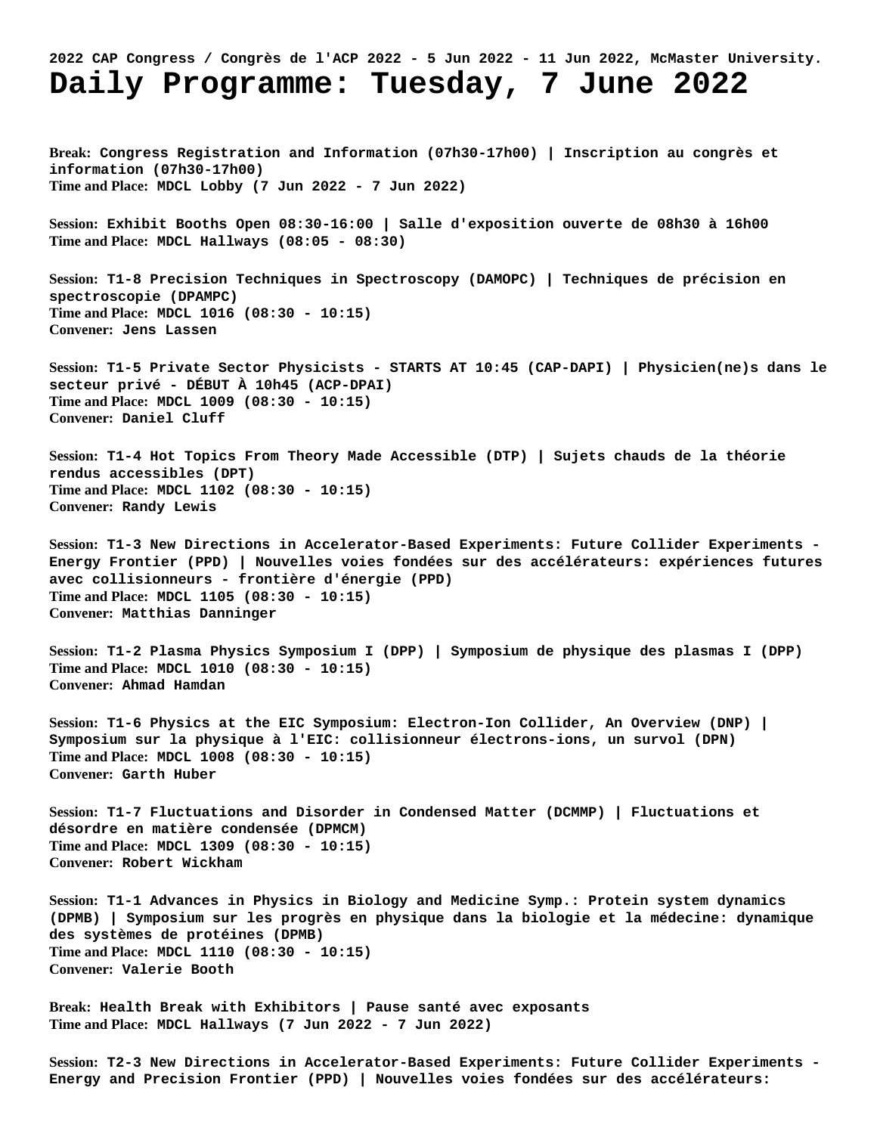## **2022 CAP Congress / Congrès de l'ACP 2022 - 5 Jun 2022 - 11 Jun 2022, McMaster University. Daily Programme: Tuesday, 7 June 2022**

**Break: Congress Registration and Information (07h30-17h00) | Inscription au congrès et information (07h30-17h00) Time and Place: MDCL Lobby (7 Jun 2022 - 7 Jun 2022)**

**Session: Exhibit Booths Open 08:30-16:00 | Salle d'exposition ouverte de 08h30 à 16h00 Time and Place: MDCL Hallways (08:05 - 08:30)**

**Session: T1-8 Precision Techniques in Spectroscopy (DAMOPC) | Techniques de précision en spectroscopie (DPAMPC) Time and Place: MDCL 1016 (08:30 - 10:15) Convener: Jens Lassen**

**Session: T1-5 Private Sector Physicists - STARTS AT 10:45 (CAP-DAPI) | Physicien(ne)s dans le secteur privé - DÉBUT À 10h45 (ACP-DPAI) Time and Place: MDCL 1009 (08:30 - 10:15) Convener: Daniel Cluff**

**Session: T1-4 Hot Topics From Theory Made Accessible (DTP) | Sujets chauds de la théorie rendus accessibles (DPT) Time and Place: MDCL 1102 (08:30 - 10:15) Convener: Randy Lewis**

**Session: T1-3 New Directions in Accelerator-Based Experiments: Future Collider Experiments - Energy Frontier (PPD) | Nouvelles voies fondées sur des accélérateurs: expériences futures avec collisionneurs - frontière d'énergie (PPD) Time and Place: MDCL 1105 (08:30 - 10:15) Convener: Matthias Danninger**

**Session: T1-2 Plasma Physics Symposium I (DPP) | Symposium de physique des plasmas I (DPP) Time and Place: MDCL 1010 (08:30 - 10:15) Convener: Ahmad Hamdan**

**Session: T1-6 Physics at the EIC Symposium: Electron-Ion Collider, An Overview (DNP) | Symposium sur la physique à l'EIC: collisionneur électrons-ions, un survol (DPN) Time and Place: MDCL 1008 (08:30 - 10:15) Convener: Garth Huber**

**Session: T1-7 Fluctuations and Disorder in Condensed Matter (DCMMP) | Fluctuations et désordre en matière condensée (DPMCM) Time and Place: MDCL 1309 (08:30 - 10:15) Convener: Robert Wickham**

**Session: T1-1 Advances in Physics in Biology and Medicine Symp.: Protein system dynamics (DPMB) | Symposium sur les progrès en physique dans la biologie et la médecine: dynamique des systèmes de protéines (DPMB) Time and Place: MDCL 1110 (08:30 - 10:15) Convener: Valerie Booth**

**Break: Health Break with Exhibitors | Pause santé avec exposants Time and Place: MDCL Hallways (7 Jun 2022 - 7 Jun 2022)**

**Session: T2-3 New Directions in Accelerator-Based Experiments: Future Collider Experiments - Energy and Precision Frontier (PPD) | Nouvelles voies fondées sur des accélérateurs:**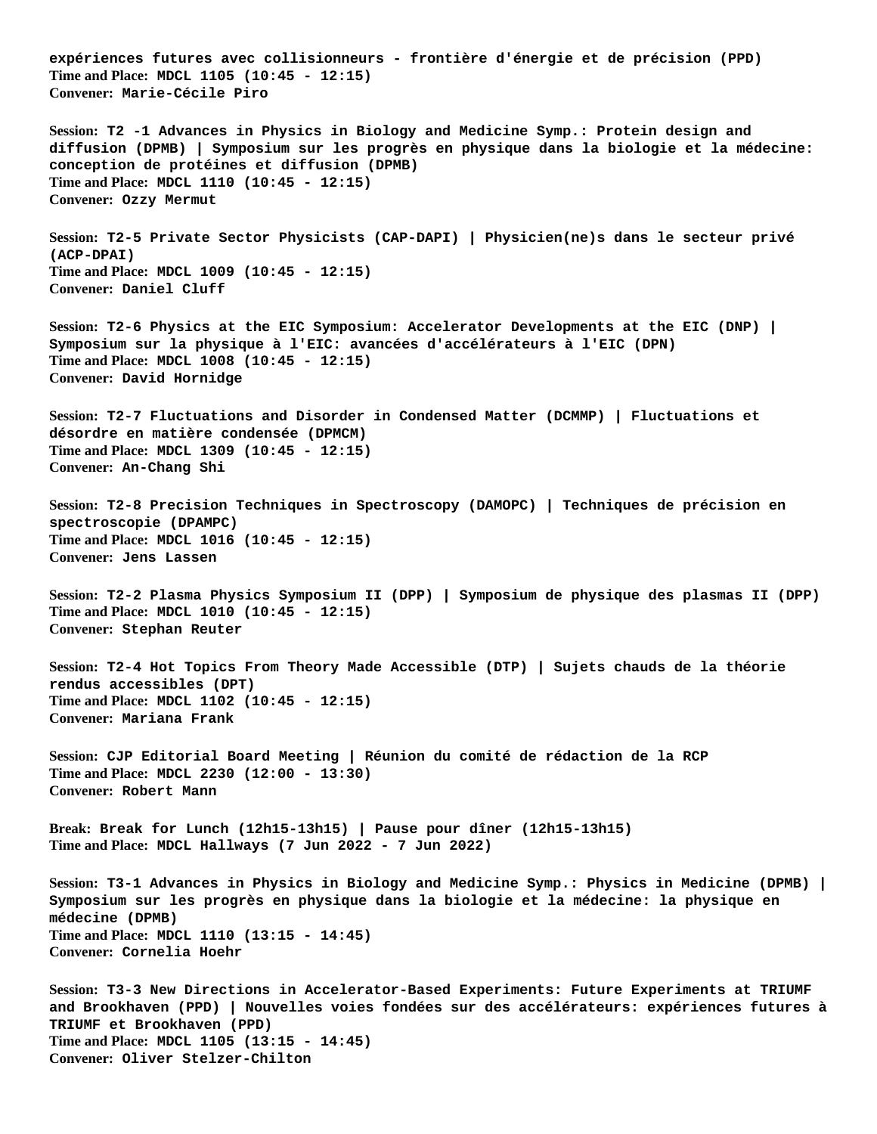**expériences futures avec collisionneurs - frontière d'énergie et de précision (PPD) Time and Place: MDCL 1105 (10:45 - 12:15) Convener: Marie-Cécile Piro Session: T2 -1 Advances in Physics in Biology and Medicine Symp.: Protein design and diffusion (DPMB) | Symposium sur les progrès en physique dans la biologie et la médecine: conception de protéines et diffusion (DPMB) Time and Place: MDCL 1110 (10:45 - 12:15) Convener: Ozzy Mermut Session: T2-5 Private Sector Physicists (CAP-DAPI) | Physicien(ne)s dans le secteur privé (ACP-DPAI) Time and Place: MDCL 1009 (10:45 - 12:15) Convener: Daniel Cluff Session: T2-6 Physics at the EIC Symposium: Accelerator Developments at the EIC (DNP) | Symposium sur la physique à l'EIC: avancées d'accélérateurs à l'EIC (DPN) Time and Place: MDCL 1008 (10:45 - 12:15) Convener: David Hornidge Session: T2-7 Fluctuations and Disorder in Condensed Matter (DCMMP) | Fluctuations et désordre en matière condensée (DPMCM) Time and Place: MDCL 1309 (10:45 - 12:15) Convener: An-Chang Shi Session: T2-8 Precision Techniques in Spectroscopy (DAMOPC) | Techniques de précision en spectroscopie (DPAMPC) Time and Place: MDCL 1016 (10:45 - 12:15) Convener: Jens Lassen Session: T2-2 Plasma Physics Symposium II (DPP) | Symposium de physique des plasmas II (DPP) Time and Place: MDCL 1010 (10:45 - 12:15) Convener: Stephan Reuter Session: T2-4 Hot Topics From Theory Made Accessible (DTP) | Sujets chauds de la théorie rendus accessibles (DPT) Time and Place: MDCL 1102 (10:45 - 12:15) Convener: Mariana Frank Session: CJP Editorial Board Meeting | Réunion du comité de rédaction de la RCP Time and Place: MDCL 2230 (12:00 - 13:30) Convener: Robert Mann Break: Break for Lunch (12h15-13h15) | Pause pour dîner (12h15-13h15) Time and Place: MDCL Hallways (7 Jun 2022 - 7 Jun 2022) Session: T3-1 Advances in Physics in Biology and Medicine Symp.: Physics in Medicine (DPMB) | Symposium sur les progrès en physique dans la biologie et la médecine: la physique en médecine (DPMB) Time and Place: MDCL 1110 (13:15 - 14:45) Convener: Cornelia Hoehr Session: T3-3 New Directions in Accelerator-Based Experiments: Future Experiments at TRIUMF and Brookhaven (PPD) | Nouvelles voies fondées sur des accélérateurs: expériences futures à TRIUMF et Brookhaven (PPD) Time and Place: MDCL 1105 (13:15 - 14:45) Convener: Oliver Stelzer-Chilton**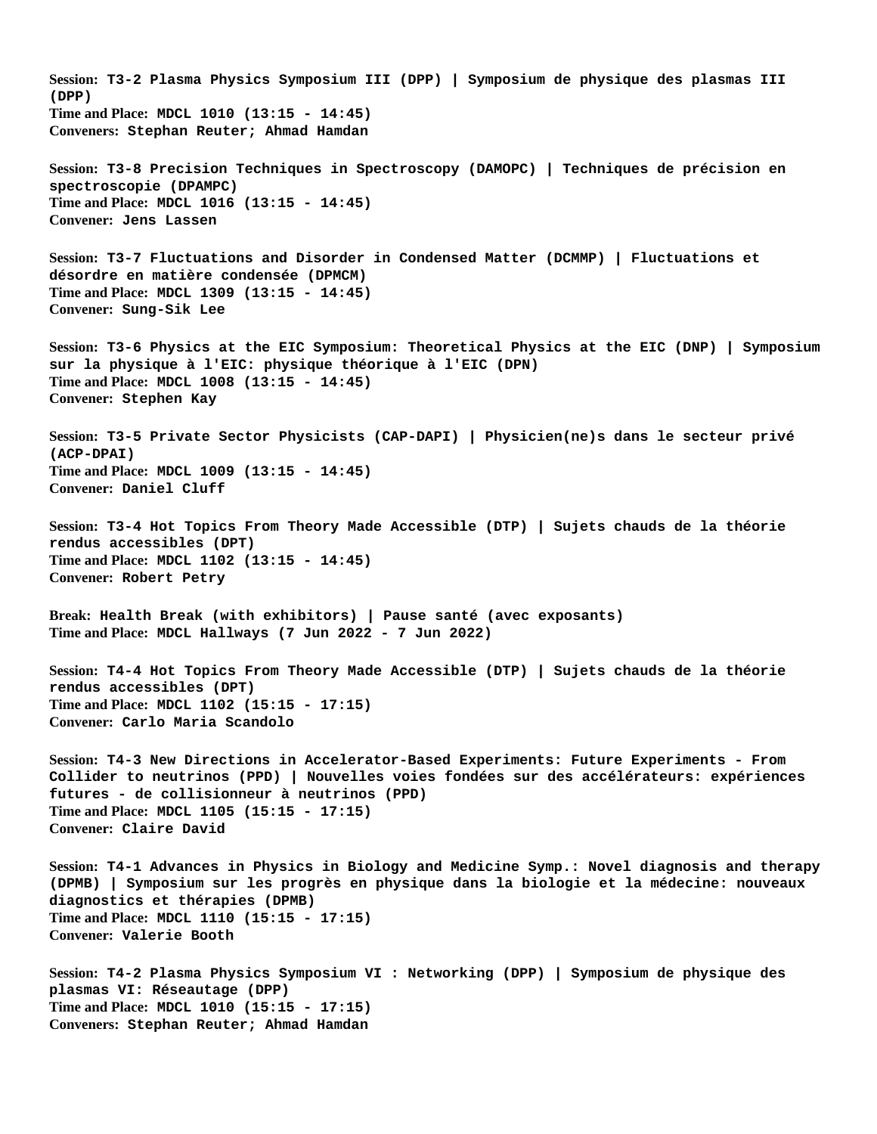**Session: T3-2 Plasma Physics Symposium III (DPP) | Symposium de physique des plasmas III (DPP) Time and Place: MDCL 1010 (13:15 - 14:45) Conveners: Stephan Reuter; Ahmad Hamdan Session: T3-8 Precision Techniques in Spectroscopy (DAMOPC) | Techniques de précision en spectroscopie (DPAMPC) Time and Place: MDCL 1016 (13:15 - 14:45) Convener: Jens Lassen Session: T3-7 Fluctuations and Disorder in Condensed Matter (DCMMP) | Fluctuations et désordre en matière condensée (DPMCM) Time and Place: MDCL 1309 (13:15 - 14:45) Convener: Sung-Sik Lee Session: T3-6 Physics at the EIC Symposium: Theoretical Physics at the EIC (DNP) | Symposium sur la physique à l'EIC: physique théorique à l'EIC (DPN) Time and Place: MDCL 1008 (13:15 - 14:45) Convener: Stephen Kay Session: T3-5 Private Sector Physicists (CAP-DAPI) | Physicien(ne)s dans le secteur privé (ACP-DPAI) Time and Place: MDCL 1009 (13:15 - 14:45) Convener: Daniel Cluff Session: T3-4 Hot Topics From Theory Made Accessible (DTP) | Sujets chauds de la théorie rendus accessibles (DPT) Time and Place: MDCL 1102 (13:15 - 14:45) Convener: Robert Petry Break: Health Break (with exhibitors) | Pause santé (avec exposants) Time and Place: MDCL Hallways (7 Jun 2022 - 7 Jun 2022) Session: T4-4 Hot Topics From Theory Made Accessible (DTP) | Sujets chauds de la théorie rendus accessibles (DPT) Time and Place: MDCL 1102 (15:15 - 17:15) Convener: Carlo Maria Scandolo Session: T4-3 New Directions in Accelerator-Based Experiments: Future Experiments - From Collider to neutrinos (PPD) | Nouvelles voies fondées sur des accélérateurs: expériences futures - de collisionneur à neutrinos (PPD) Time and Place: MDCL 1105 (15:15 - 17:15) Convener: Claire David Session: T4-1 Advances in Physics in Biology and Medicine Symp.: Novel diagnosis and therapy (DPMB) | Symposium sur les progrès en physique dans la biologie et la médecine: nouveaux diagnostics et thérapies (DPMB) Time and Place: MDCL 1110 (15:15 - 17:15) Convener: Valerie Booth Session: T4-2 Plasma Physics Symposium VI : Networking (DPP) | Symposium de physique des plasmas VI: Réseautage (DPP) Time and Place: MDCL 1010 (15:15 - 17:15) Conveners: Stephan Reuter; Ahmad Hamdan**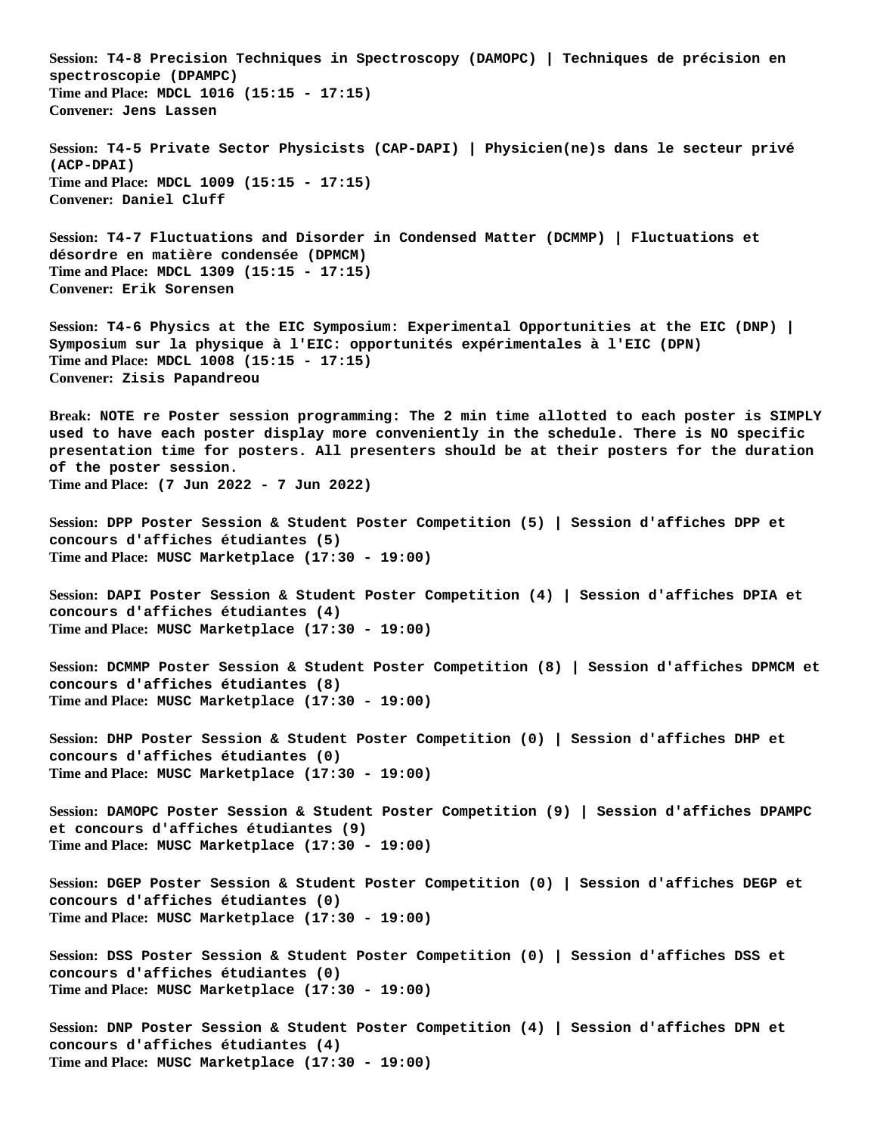**Session: T4-8 Precision Techniques in Spectroscopy (DAMOPC) | Techniques de précision en spectroscopie (DPAMPC) Time and Place: MDCL 1016 (15:15 - 17:15) Convener: Jens Lassen Session: T4-5 Private Sector Physicists (CAP-DAPI) | Physicien(ne)s dans le secteur privé (ACP-DPAI) Time and Place: MDCL 1009 (15:15 - 17:15) Convener: Daniel Cluff Session: T4-7 Fluctuations and Disorder in Condensed Matter (DCMMP) | Fluctuations et désordre en matière condensée (DPMCM) Time and Place: MDCL 1309 (15:15 - 17:15) Convener: Erik Sorensen Session: T4-6 Physics at the EIC Symposium: Experimental Opportunities at the EIC (DNP) | Symposium sur la physique à l'EIC: opportunités expérimentales à l'EIC (DPN) Time and Place: MDCL 1008 (15:15 - 17:15) Convener: Zisis Papandreou Break: NOTE re Poster session programming: The 2 min time allotted to each poster is SIMPLY used to have each poster display more conveniently in the schedule. There is NO specific presentation time for posters. All presenters should be at their posters for the duration of the poster session. Time and Place: (7 Jun 2022 - 7 Jun 2022) Session: DPP Poster Session & Student Poster Competition (5) | Session d'affiches DPP et concours d'affiches étudiantes (5) Time and Place: MUSC Marketplace (17:30 - 19:00) Session: DAPI Poster Session & Student Poster Competition (4) | Session d'affiches DPIA et concours d'affiches étudiantes (4) Time and Place: MUSC Marketplace (17:30 - 19:00) Session: DCMMP Poster Session & Student Poster Competition (8) | Session d'affiches DPMCM et concours d'affiches étudiantes (8) Time and Place: MUSC Marketplace (17:30 - 19:00) Session: DHP Poster Session & Student Poster Competition (0) | Session d'affiches DHP et concours d'affiches étudiantes (0) Time and Place: MUSC Marketplace (17:30 - 19:00) Session: DAMOPC Poster Session & Student Poster Competition (9) | Session d'affiches DPAMPC et concours d'affiches étudiantes (9) Time and Place: MUSC Marketplace (17:30 - 19:00) Session: DGEP Poster Session & Student Poster Competition (0) | Session d'affiches DEGP et concours d'affiches étudiantes (0) Time and Place: MUSC Marketplace (17:30 - 19:00) Session: DSS Poster Session & Student Poster Competition (0) | Session d'affiches DSS et concours d'affiches étudiantes (0) Time and Place: MUSC Marketplace (17:30 - 19:00) Session: DNP Poster Session & Student Poster Competition (4) | Session d'affiches DPN et concours d'affiches étudiantes (4) Time and Place: MUSC Marketplace (17:30 - 19:00)**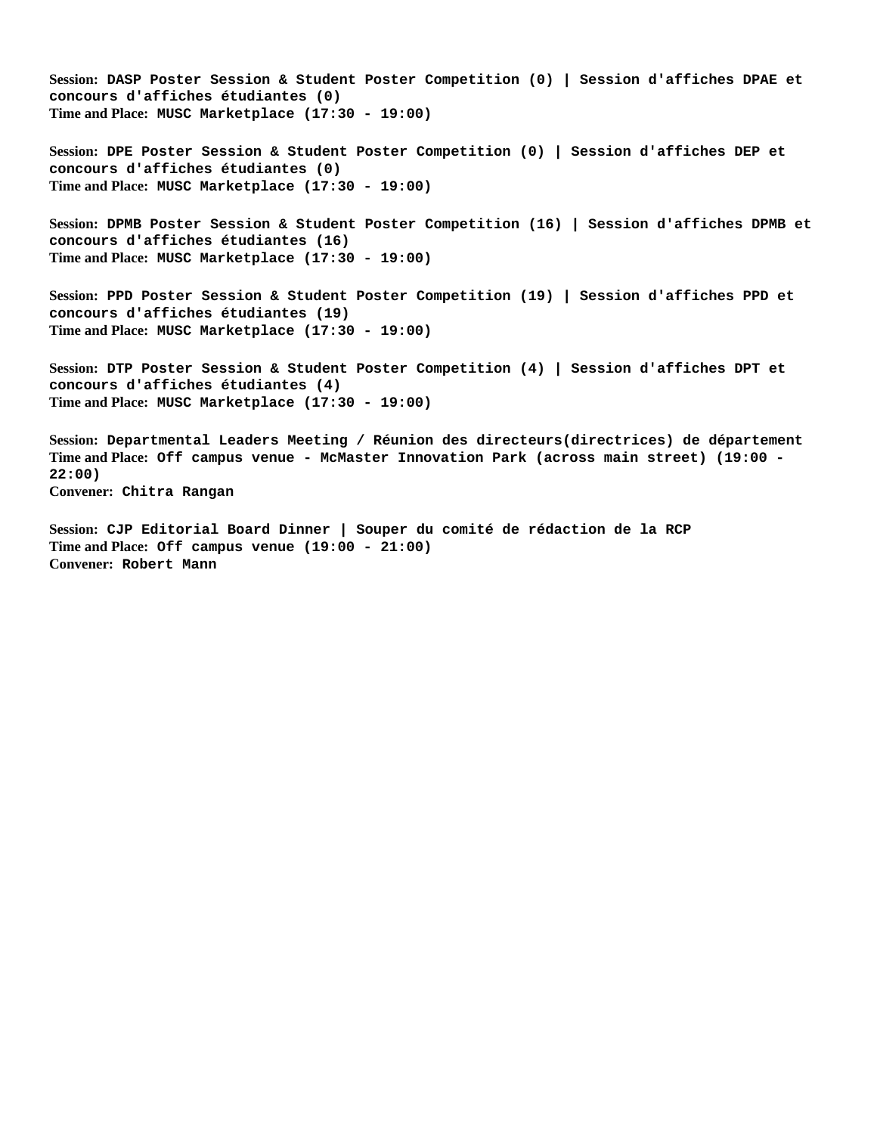**Session: DASP Poster Session & Student Poster Competition (0) | Session d'affiches DPAE et concours d'affiches étudiantes (0) Time and Place: MUSC Marketplace (17:30 - 19:00)**

**Session: DPE Poster Session & Student Poster Competition (0) | Session d'affiches DEP et concours d'affiches étudiantes (0) Time and Place: MUSC Marketplace (17:30 - 19:00)**

**Session: DPMB Poster Session & Student Poster Competition (16) | Session d'affiches DPMB et concours d'affiches étudiantes (16) Time and Place: MUSC Marketplace (17:30 - 19:00)**

**Session: PPD Poster Session & Student Poster Competition (19) | Session d'affiches PPD et concours d'affiches étudiantes (19) Time and Place: MUSC Marketplace (17:30 - 19:00)**

**Session: DTP Poster Session & Student Poster Competition (4) | Session d'affiches DPT et concours d'affiches étudiantes (4) Time and Place: MUSC Marketplace (17:30 - 19:00)**

**Session: Departmental Leaders Meeting / Réunion des directeurs(directrices) de département Time and Place: Off campus venue - McMaster Innovation Park (across main street) (19:00 - 22:00) Convener: Chitra Rangan**

**Session: CJP Editorial Board Dinner | Souper du comité de rédaction de la RCP Time and Place: Off campus venue (19:00 - 21:00) Convener: Robert Mann**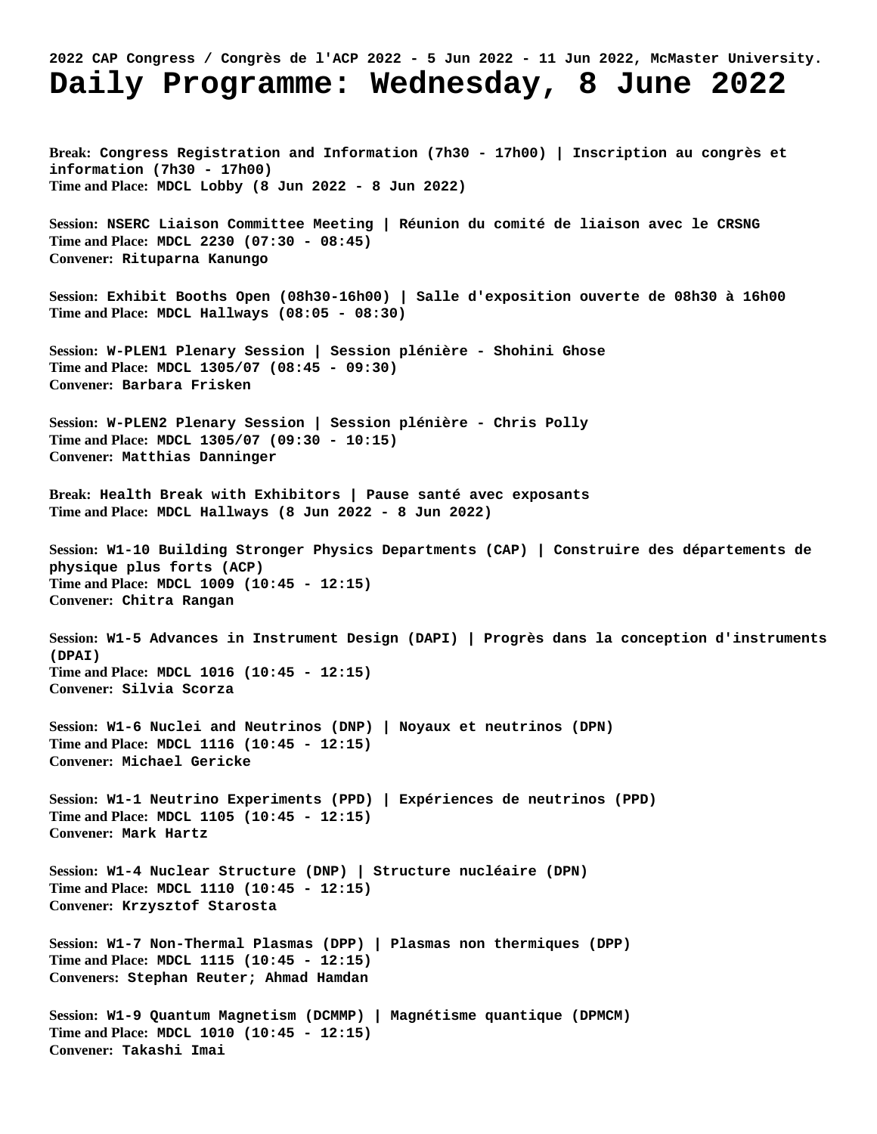## **2022 CAP Congress / Congrès de l'ACP 2022 - 5 Jun 2022 - 11 Jun 2022, McMaster University. Daily Programme: Wednesday, 8 June 2022**

**Break: Congress Registration and Information (7h30 - 17h00) | Inscription au congrès et information (7h30 - 17h00) Time and Place: MDCL Lobby (8 Jun 2022 - 8 Jun 2022)**

**Session: NSERC Liaison Committee Meeting | Réunion du comité de liaison avec le CRSNG Time and Place: MDCL 2230 (07:30 - 08:45) Convener: Rituparna Kanungo**

**Session: Exhibit Booths Open (08h30-16h00) | Salle d'exposition ouverte de 08h30 à 16h00 Time and Place: MDCL Hallways (08:05 - 08:30)**

**Session: W-PLEN1 Plenary Session | Session plénière - Shohini Ghose Time and Place: MDCL 1305/07 (08:45 - 09:30) Convener: Barbara Frisken**

**Session: W-PLEN2 Plenary Session | Session plénière - Chris Polly Time and Place: MDCL 1305/07 (09:30 - 10:15) Convener: Matthias Danninger**

**Break: Health Break with Exhibitors | Pause santé avec exposants Time and Place: MDCL Hallways (8 Jun 2022 - 8 Jun 2022)**

**Session: W1-10 Building Stronger Physics Departments (CAP) | Construire des départements de physique plus forts (ACP) Time and Place: MDCL 1009 (10:45 - 12:15) Convener: Chitra Rangan**

**Session: W1-5 Advances in Instrument Design (DAPI) | Progrès dans la conception d'instruments (DPAI) Time and Place: MDCL 1016 (10:45 - 12:15) Convener: Silvia Scorza**

**Session: W1-6 Nuclei and Neutrinos (DNP) | Noyaux et neutrinos (DPN) Time and Place: MDCL 1116 (10:45 - 12:15) Convener: Michael Gericke**

**Session: W1-1 Neutrino Experiments (PPD) | Expériences de neutrinos (PPD) Time and Place: MDCL 1105 (10:45 - 12:15) Convener: Mark Hartz**

**Session: W1-4 Nuclear Structure (DNP) | Structure nucléaire (DPN) Time and Place: MDCL 1110 (10:45 - 12:15) Convener: Krzysztof Starosta**

**Session: W1-7 Non-Thermal Plasmas (DPP) | Plasmas non thermiques (DPP) Time and Place: MDCL 1115 (10:45 - 12:15) Conveners: Stephan Reuter; Ahmad Hamdan**

**Session: W1-9 Quantum Magnetism (DCMMP) | Magnétisme quantique (DPMCM) Time and Place: MDCL 1010 (10:45 - 12:15) Convener: Takashi Imai**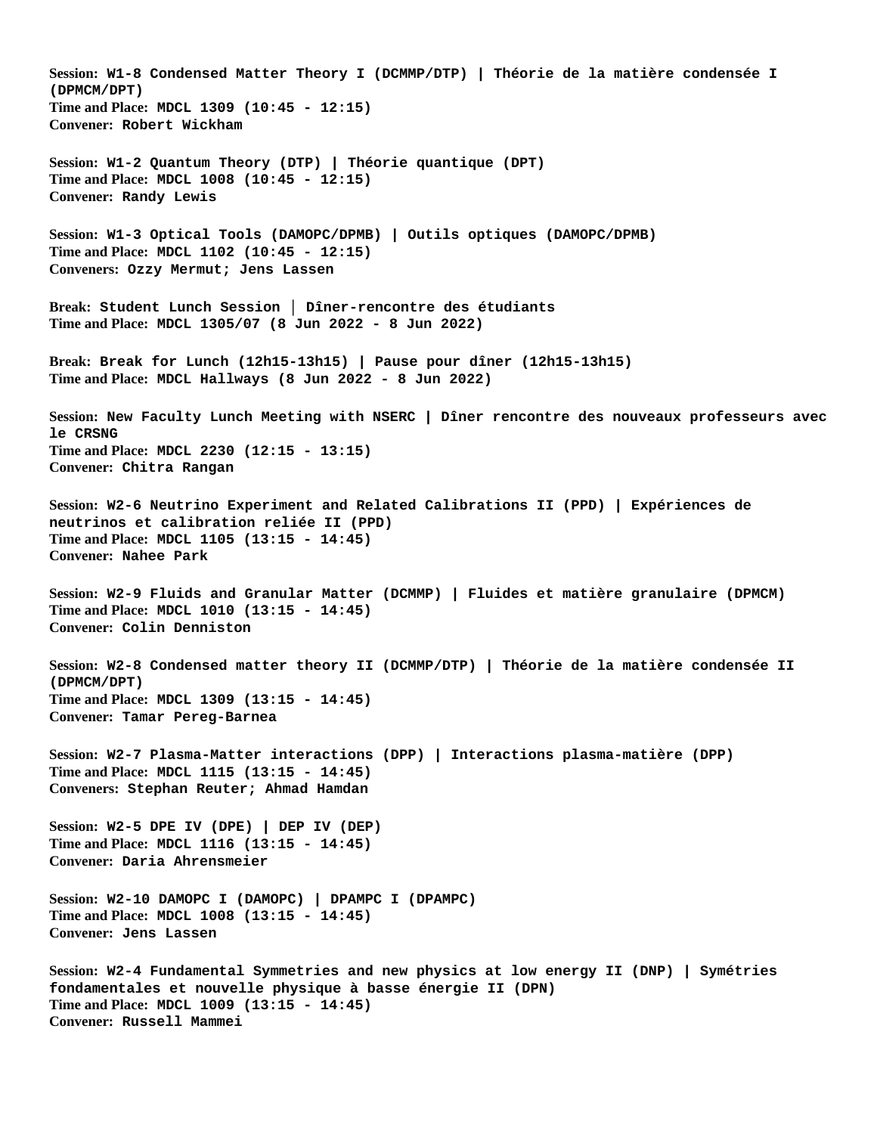**Session: W1-8 Condensed Matter Theory I (DCMMP/DTP) | Théorie de la matière condensée I (DPMCM/DPT) Time and Place: MDCL 1309 (10:45 - 12:15) Convener: Robert Wickham Session: W1-2 Quantum Theory (DTP) | Théorie quantique (DPT) Time and Place: MDCL 1008 (10:45 - 12:15) Convener: Randy Lewis Session: W1-3 Optical Tools (DAMOPC/DPMB) | Outils optiques (DAMOPC/DPMB) Time and Place: MDCL 1102 (10:45 - 12:15) Conveners: Ozzy Mermut; Jens Lassen Break: Student Lunch Session │ Dîner-rencontre des étudiants Time and Place: MDCL 1305/07 (8 Jun 2022 - 8 Jun 2022) Break: Break for Lunch (12h15-13h15) | Pause pour dîner (12h15-13h15) Time and Place: MDCL Hallways (8 Jun 2022 - 8 Jun 2022) Session: New Faculty Lunch Meeting with NSERC | Dîner rencontre des nouveaux professeurs avec le CRSNG Time and Place: MDCL 2230 (12:15 - 13:15) Convener: Chitra Rangan Session: W2-6 Neutrino Experiment and Related Calibrations II (PPD) | Expériences de neutrinos et calibration reliée II (PPD) Time and Place: MDCL 1105 (13:15 - 14:45) Convener: Nahee Park Session: W2-9 Fluids and Granular Matter (DCMMP) | Fluides et matière granulaire (DPMCM) Time and Place: MDCL 1010 (13:15 - 14:45) Convener: Colin Denniston Session: W2-8 Condensed matter theory II (DCMMP/DTP) | Théorie de la matière condensée II (DPMCM/DPT) Time and Place: MDCL 1309 (13:15 - 14:45) Convener: Tamar Pereg-Barnea Session: W2-7 Plasma-Matter interactions (DPP) | Interactions plasma-matière (DPP) Time and Place: MDCL 1115 (13:15 - 14:45) Conveners: Stephan Reuter; Ahmad Hamdan Session: W2-5 DPE IV (DPE) | DEP IV (DEP) Time and Place: MDCL 1116 (13:15 - 14:45) Convener: Daria Ahrensmeier Session: W2-10 DAMOPC I (DAMOPC) | DPAMPC I (DPAMPC) Time and Place: MDCL 1008 (13:15 - 14:45) Convener: Jens Lassen Session: W2-4 Fundamental Symmetries and new physics at low energy II (DNP) | Symétries fondamentales et nouvelle physique à basse énergie II (DPN) Time and Place: MDCL 1009 (13:15 - 14:45) Convener: Russell Mammei**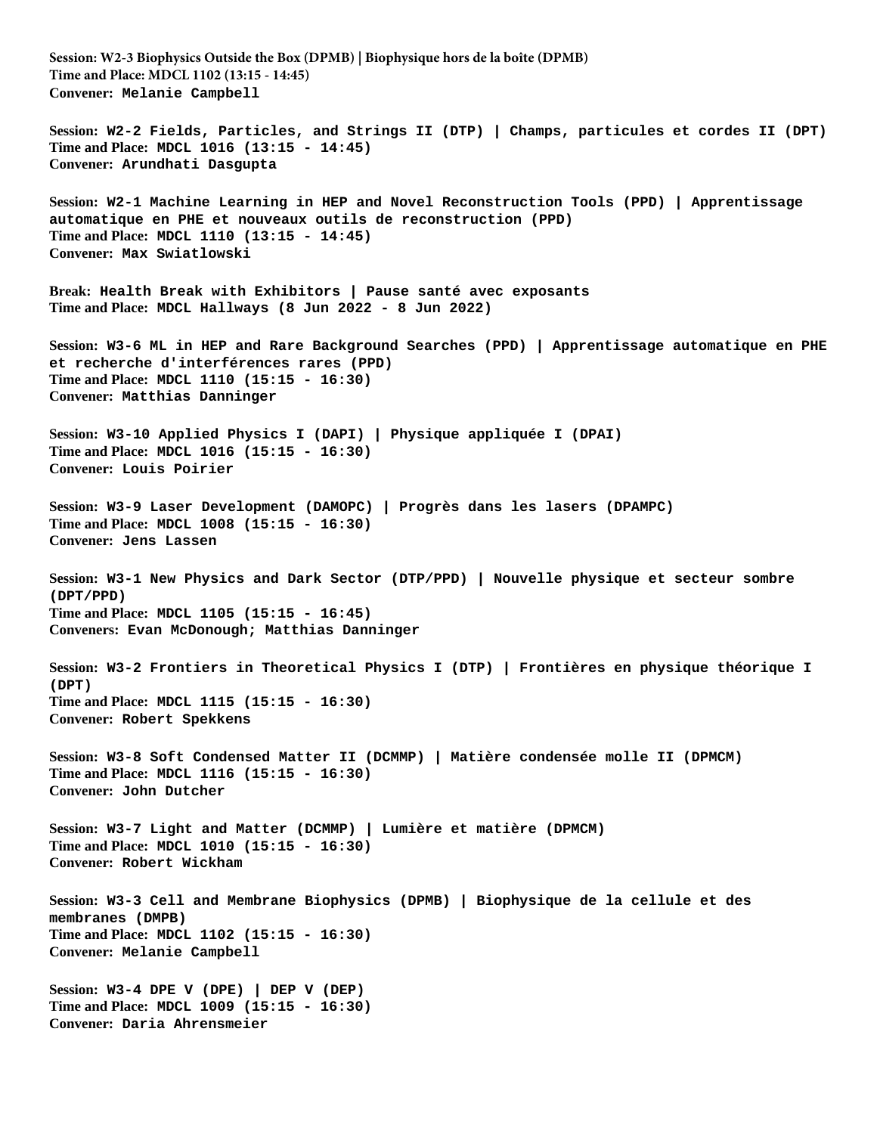**Session: W2-3 Biophysics Outside the Box (DPMB) | Biophysique hors de la boîte (DPMB) Time and Place: MDCL 1102 (13:15 - 14:45) Convener: Melanie Campbell Session: W2-2 Fields, Particles, and Strings II (DTP) | Champs, particules et cordes II (DPT) Time and Place: MDCL 1016 (13:15 - 14:45) Convener: Arundhati Dasgupta Session: W2-1 Machine Learning in HEP and Novel Reconstruction Tools (PPD) | Apprentissage automatique en PHE et nouveaux outils de reconstruction (PPD) Time and Place: MDCL 1110 (13:15 - 14:45) Convener: Max Swiatlowski Break: Health Break with Exhibitors | Pause santé avec exposants Time and Place: MDCL Hallways (8 Jun 2022 - 8 Jun 2022) Session: W3-6 ML in HEP and Rare Background Searches (PPD) | Apprentissage automatique en PHE et recherche d'interférences rares (PPD) Time and Place: MDCL 1110 (15:15 - 16:30) Convener: Matthias Danninger Session: W3-10 Applied Physics I (DAPI) | Physique appliquée I (DPAI) Time and Place: MDCL 1016 (15:15 - 16:30) Convener: Louis Poirier Session: W3-9 Laser Development (DAMOPC) | Progrès dans les lasers (DPAMPC) Time and Place: MDCL 1008 (15:15 - 16:30) Convener: Jens Lassen Session: W3-1 New Physics and Dark Sector (DTP/PPD) | Nouvelle physique et secteur sombre (DPT/PPD) Time and Place: MDCL 1105 (15:15 - 16:45) Conveners: Evan McDonough; Matthias Danninger Session: W3-2 Frontiers in Theoretical Physics I (DTP) | Frontières en physique théorique I (DPT) Time and Place: MDCL 1115 (15:15 - 16:30) Convener: Robert Spekkens Session: W3-8 Soft Condensed Matter II (DCMMP) | Matière condensée molle II (DPMCM) Time and Place: MDCL 1116 (15:15 - 16:30) Convener: John Dutcher Session: W3-7 Light and Matter (DCMMP) | Lumière et matière (DPMCM) Time and Place: MDCL 1010 (15:15 - 16:30) Convener: Robert Wickham Session: W3-3 Cell and Membrane Biophysics (DPMB) | Biophysique de la cellule et des membranes (DMPB) Time and Place: MDCL 1102 (15:15 - 16:30) Convener: Melanie Campbell Session: W3-4 DPE V (DPE) | DEP V (DEP) Time and Place: MDCL 1009 (15:15 - 16:30) Convener: Daria Ahrensmeier**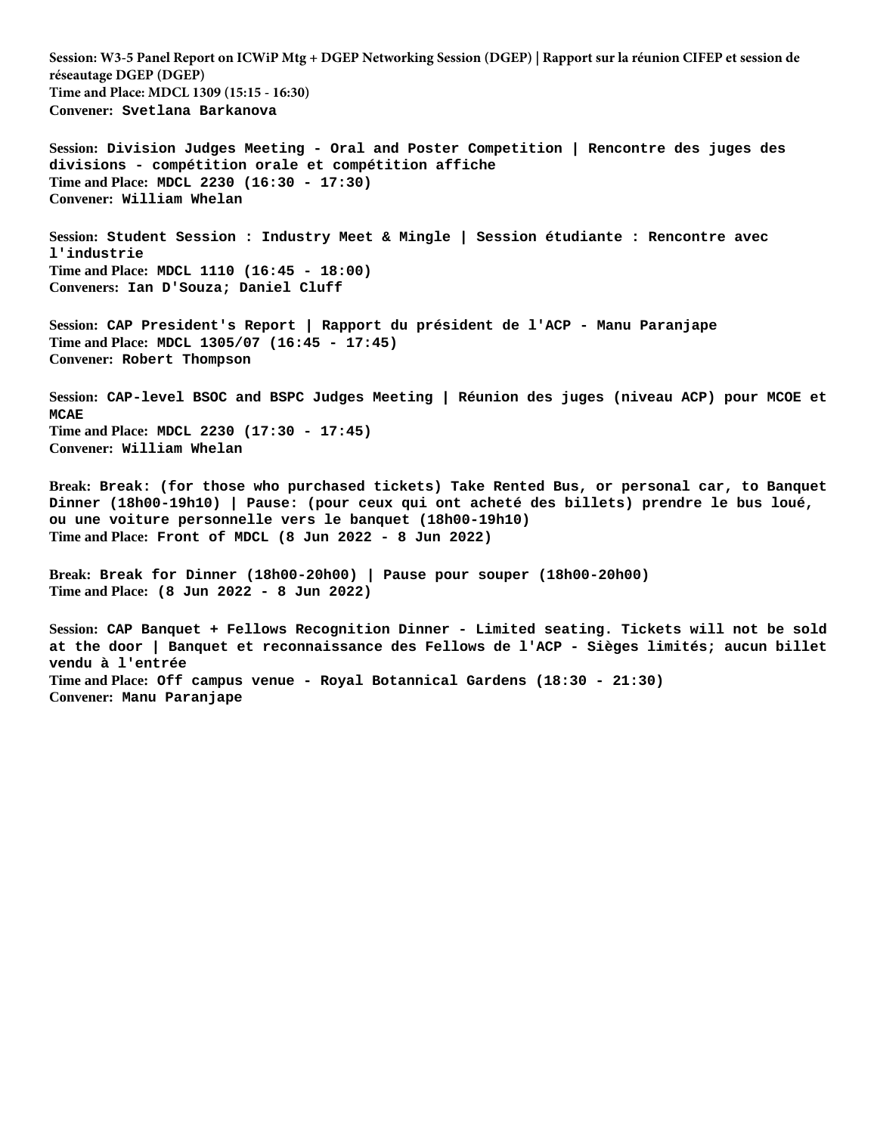**Session: W3-5 Panel Report on ICWiP Mtg + DGEP Networking Session (DGEP) | Rapport sur la réunion CIFEP et session de réseautage DGEP (DGEP) Time and Place: MDCL 1309 (15:15 - 16:30) Convener: Svetlana Barkanova**

**Session: Division Judges Meeting - Oral and Poster Competition | Rencontre des juges des divisions - compétition orale et compétition affiche Time and Place: MDCL 2230 (16:30 - 17:30) Convener: William Whelan**

**Session: Student Session : Industry Meet & Mingle | Session étudiante : Rencontre avec l'industrie Time and Place: MDCL 1110 (16:45 - 18:00) Conveners: Ian D'Souza; Daniel Cluff**

**Session: CAP President's Report | Rapport du président de l'ACP - Manu Paranjape Time and Place: MDCL 1305/07 (16:45 - 17:45) Convener: Robert Thompson**

**Session: CAP-level BSOC and BSPC Judges Meeting | Réunion des juges (niveau ACP) pour MCOE et MCAE Time and Place: MDCL 2230 (17:30 - 17:45) Convener: William Whelan**

**Break: Break: (for those who purchased tickets) Take Rented Bus, or personal car, to Banquet Dinner (18h00-19h10) | Pause: (pour ceux qui ont acheté des billets) prendre le bus loué, ou une voiture personnelle vers le banquet (18h00-19h10) Time and Place: Front of MDCL (8 Jun 2022 - 8 Jun 2022)**

**Break: Break for Dinner (18h00-20h00) | Pause pour souper (18h00-20h00) Time and Place: (8 Jun 2022 - 8 Jun 2022)**

**Session: CAP Banquet + Fellows Recognition Dinner - Limited seating. Tickets will not be sold at the door | Banquet et reconnaissance des Fellows de l'ACP - Sièges limités; aucun billet vendu à l'entrée Time and Place: Off campus venue - Royal Botannical Gardens (18:30 - 21:30) Convener: Manu Paranjape**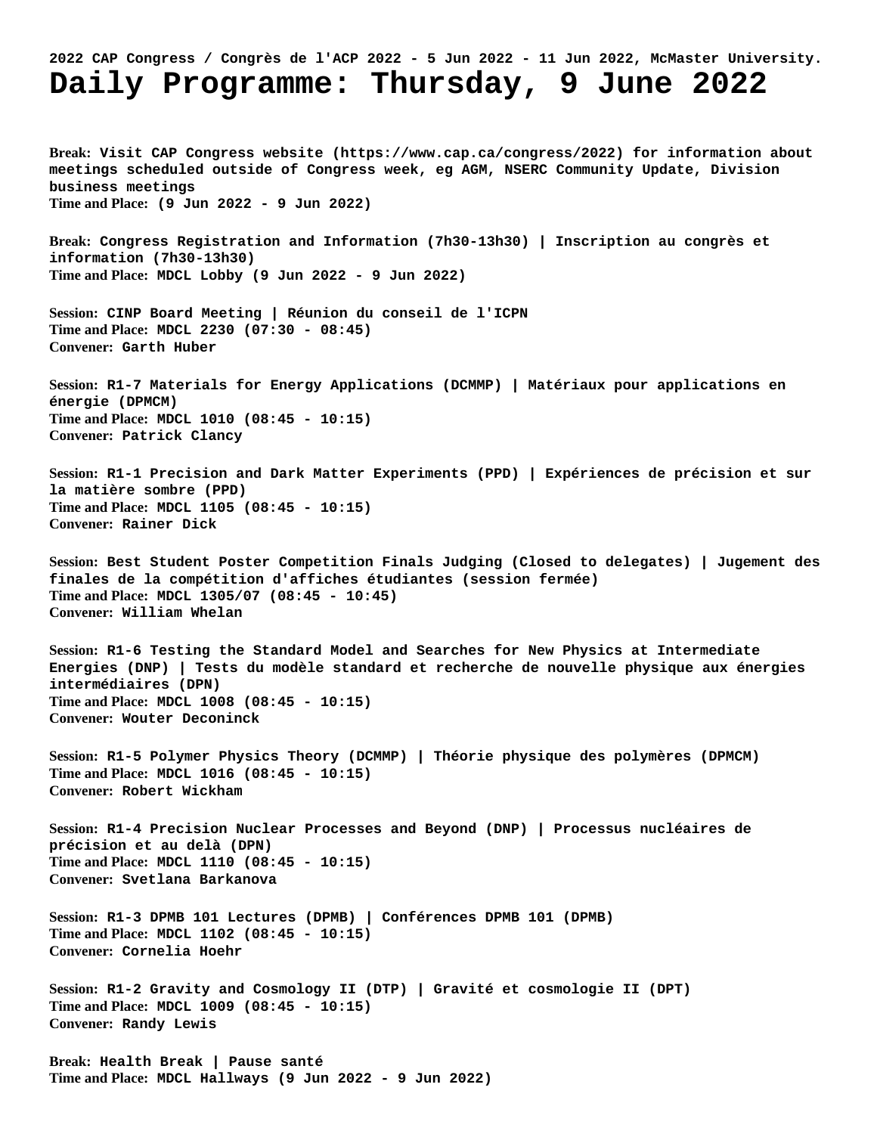## **2022 CAP Congress / Congrès de l'ACP 2022 - 5 Jun 2022 - 11 Jun 2022, McMaster University. Daily Programme: Thursday, 9 June 2022**

**Break: Visit CAP Congress website (https://www.cap.ca/congress/2022) for information about meetings scheduled outside of Congress week, eg AGM, NSERC Community Update, Division business meetings Time and Place: (9 Jun 2022 - 9 Jun 2022) Break: Congress Registration and Information (7h30-13h30) | Inscription au congrès et information (7h30-13h30) Time and Place: MDCL Lobby (9 Jun 2022 - 9 Jun 2022) Session: CINP Board Meeting | Réunion du conseil de l'ICPN Time and Place: MDCL 2230 (07:30 - 08:45) Convener: Garth Huber Session: R1-7 Materials for Energy Applications (DCMMP) | Matériaux pour applications en énergie (DPMCM) Time and Place: MDCL 1010 (08:45 - 10:15) Convener: Patrick Clancy Session: R1-1 Precision and Dark Matter Experiments (PPD) | Expériences de précision et sur la matière sombre (PPD) Time and Place: MDCL 1105 (08:45 - 10:15) Convener: Rainer Dick Session: Best Student Poster Competition Finals Judging (Closed to delegates) | Jugement des finales de la compétition d'affiches étudiantes (session fermée) Time and Place: MDCL 1305/07 (08:45 - 10:45) Convener: William Whelan Session: R1-6 Testing the Standard Model and Searches for New Physics at Intermediate Energies (DNP) | Tests du modèle standard et recherche de nouvelle physique aux énergies intermédiaires (DPN) Time and Place: MDCL 1008 (08:45 - 10:15) Convener: Wouter Deconinck Session: R1-5 Polymer Physics Theory (DCMMP) | Théorie physique des polymères (DPMCM) Time and Place: MDCL 1016 (08:45 - 10:15) Convener: Robert Wickham Session: R1-4 Precision Nuclear Processes and Beyond (DNP) | Processus nucléaires de précision et au delà (DPN) Time and Place: MDCL 1110 (08:45 - 10:15) Convener: Svetlana Barkanova Session: R1-3 DPMB 101 Lectures (DPMB) | Conférences DPMB 101 (DPMB) Time and Place: MDCL 1102 (08:45 - 10:15) Convener: Cornelia Hoehr Session: R1-2 Gravity and Cosmology II (DTP) | Gravité et cosmologie II (DPT) Time and Place: MDCL 1009 (08:45 - 10:15) Convener: Randy Lewis Break: Health Break | Pause santé Time and Place: MDCL Hallways (9 Jun 2022 - 9 Jun 2022)**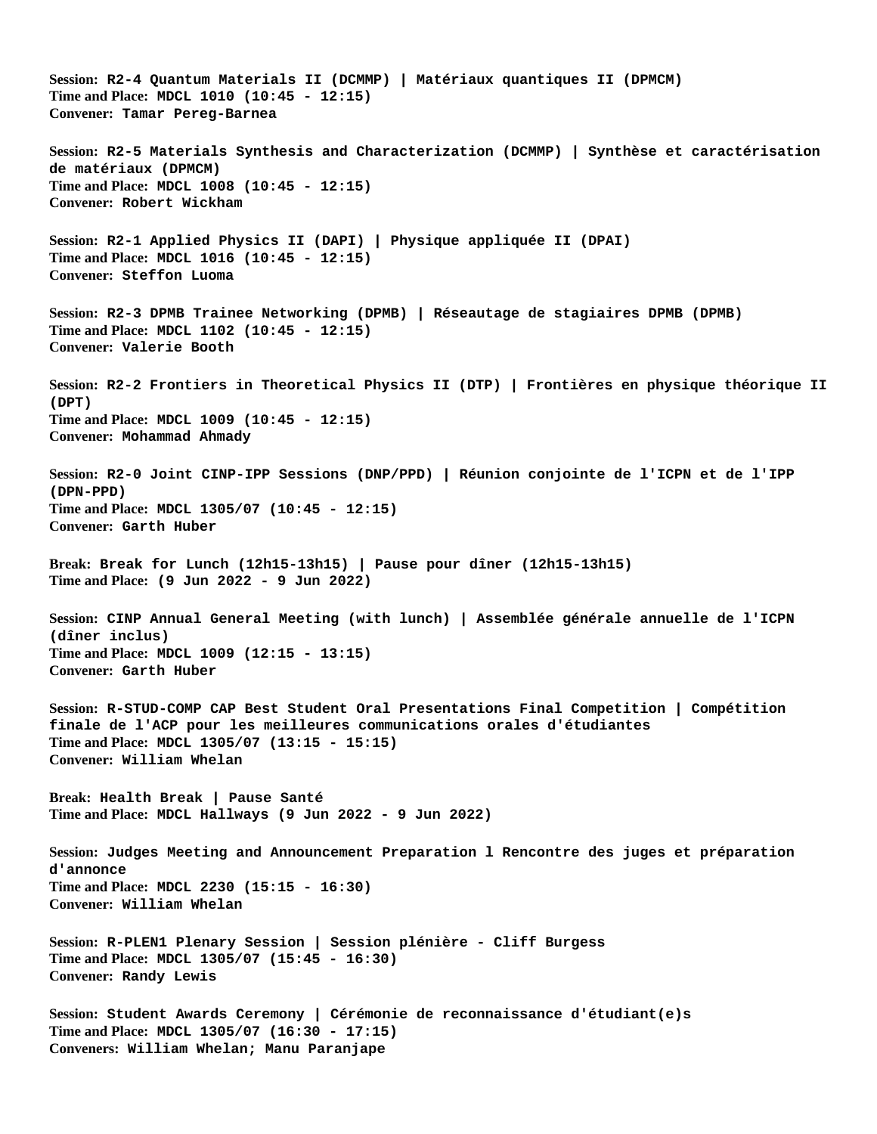**Session: R2-4 Quantum Materials II (DCMMP) | Matériaux quantiques II (DPMCM) Time and Place: MDCL 1010 (10:45 - 12:15) Convener: Tamar Pereg-Barnea Session: R2-5 Materials Synthesis and Characterization (DCMMP) | Synthèse et caractérisation de matériaux (DPMCM) Time and Place: MDCL 1008 (10:45 - 12:15) Convener: Robert Wickham Session: R2-1 Applied Physics II (DAPI) | Physique appliquée II (DPAI) Time and Place: MDCL 1016 (10:45 - 12:15) Convener: Steffon Luoma Session: R2-3 DPMB Trainee Networking (DPMB) | Réseautage de stagiaires DPMB (DPMB) Time and Place: MDCL 1102 (10:45 - 12:15) Convener: Valerie Booth Session: R2-2 Frontiers in Theoretical Physics II (DTP) | Frontières en physique théorique II (DPT) Time and Place: MDCL 1009 (10:45 - 12:15) Convener: Mohammad Ahmady Session: R2-0 Joint CINP-IPP Sessions (DNP/PPD) | Réunion conjointe de l'ICPN et de l'IPP (DPN-PPD) Time and Place: MDCL 1305/07 (10:45 - 12:15) Convener: Garth Huber Break: Break for Lunch (12h15-13h15) | Pause pour dîner (12h15-13h15) Time and Place: (9 Jun 2022 - 9 Jun 2022) Session: CINP Annual General Meeting (with lunch) | Assemblée générale annuelle de l'ICPN (dîner inclus) Time and Place: MDCL 1009 (12:15 - 13:15) Convener: Garth Huber Session: R-STUD-COMP CAP Best Student Oral Presentations Final Competition | Compétition finale de l'ACP pour les meilleures communications orales d'étudiantes Time and Place: MDCL 1305/07 (13:15 - 15:15) Convener: William Whelan Break: Health Break | Pause Santé Time and Place: MDCL Hallways (9 Jun 2022 - 9 Jun 2022) Session: Judges Meeting and Announcement Preparation l Rencontre des juges et préparation d'annonce Time and Place: MDCL 2230 (15:15 - 16:30) Convener: William Whelan Session: R-PLEN1 Plenary Session | Session plénière - Cliff Burgess Time and Place: MDCL 1305/07 (15:45 - 16:30) Convener: Randy Lewis Session: Student Awards Ceremony | Cérémonie de reconnaissance d'étudiant(e)s Time and Place: MDCL 1305/07 (16:30 - 17:15) Conveners: William Whelan; Manu Paranjape**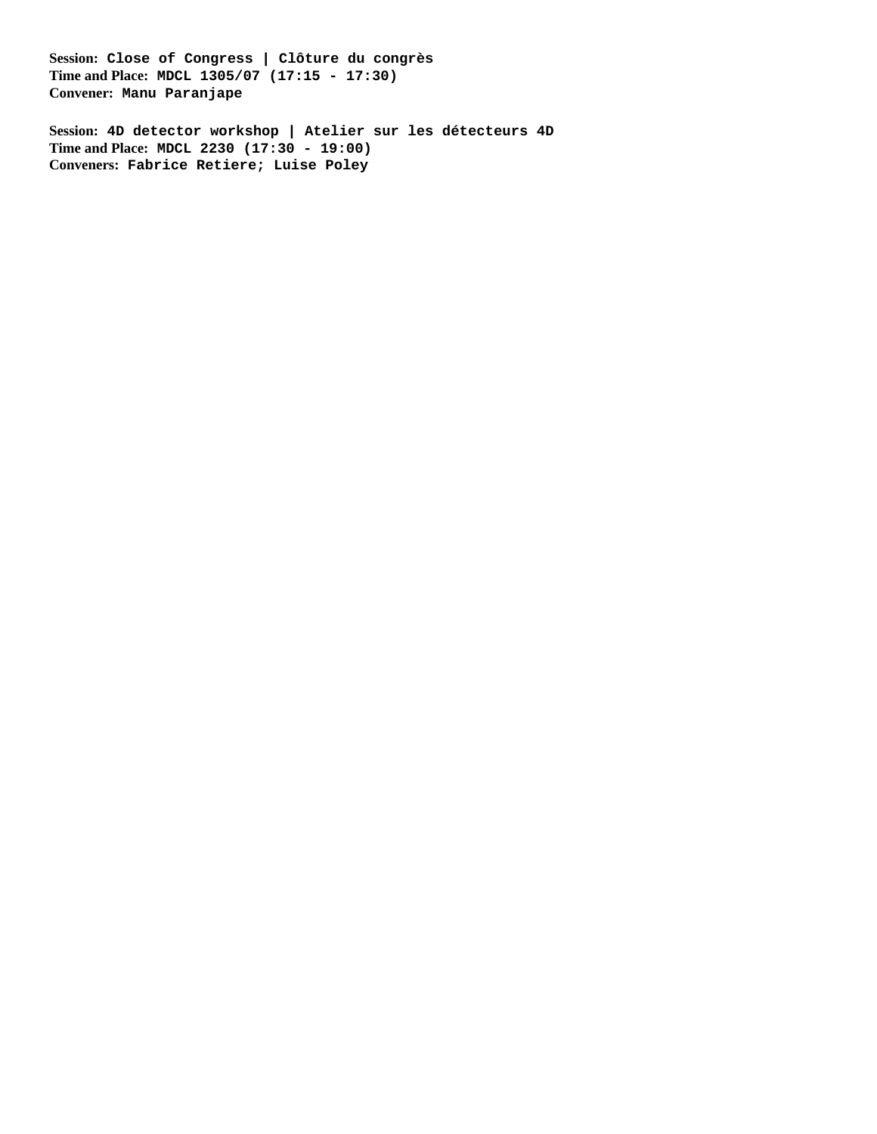**Session: Close of Congress | Clôture du congrès Time and Place: MDCL 1305/07 (17:15 - 17:30) Convener: Manu Paranjape**

**Session: 4D detector workshop | Atelier sur les détecteurs 4D Time and Place: MDCL 2230 (17:30 - 19:00) Conveners: Fabrice Retiere; Luise Poley**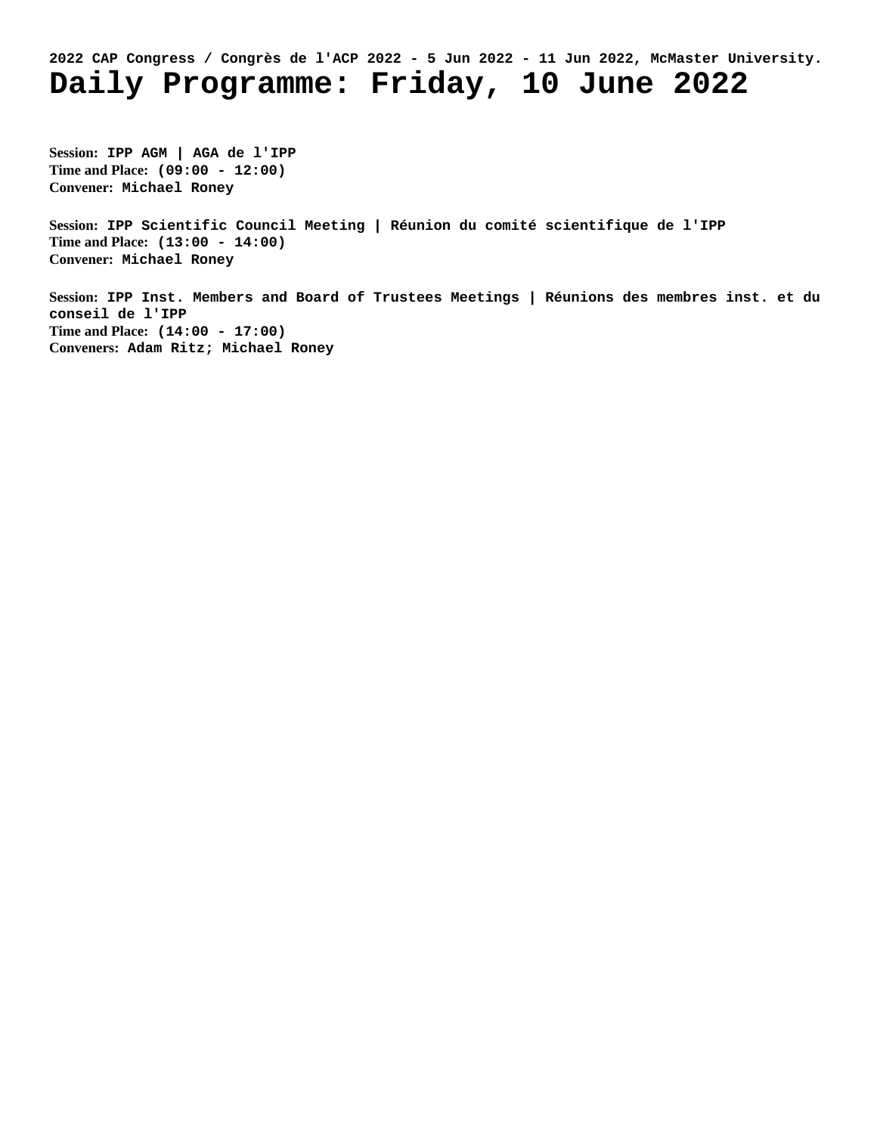## **2022 CAP Congress / Congrès de l'ACP 2022 - 5 Jun 2022 - 11 Jun 2022, McMaster University. Daily Programme: Friday, 10 June 2022**

**Session: IPP AGM | AGA de l'IPP Time and Place: (09:00 - 12:00) Convener: Michael Roney**

**Session: IPP Scientific Council Meeting | Réunion du comité scientifique de l'IPP Time and Place: (13:00 - 14:00) Convener: Michael Roney**

**Session: IPP Inst. Members and Board of Trustees Meetings | Réunions des membres inst. et du conseil de l'IPP Time and Place: (14:00 - 17:00) Conveners: Adam Ritz; Michael Roney**